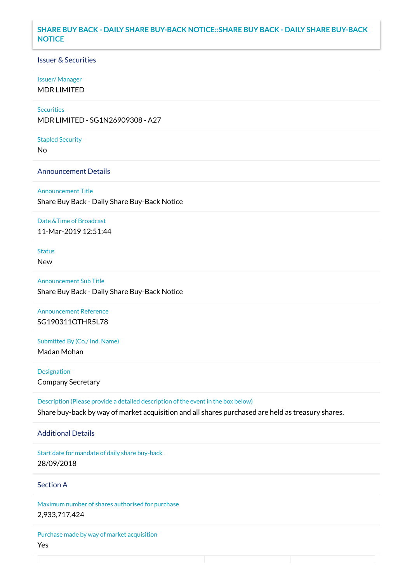## **SHARE BUY BACK - DAILY SHARE BUY-BACK NOTICE::SHARE BUY BACK - DAILY SHARE BUY-BACK NOTICE**

## Issuer & Securities

#### Issuer/ Manager

MDR LIMITED

# **Securities**

MDR LIMITED - SG1N26909308 - A27

#### Stapled Security

No

### Announcement Details

Announcement Title Share Buy Back - Daily Share Buy-Back Notice

#### Date &Time of Broadcast

11-Mar-2019 12:51:44

# Status

New

Announcement Sub Title Share Buy Back - Daily Share Buy-Back Notice

Announcement Reference SG190311OTHR5L78

Submitted By (Co./ Ind. Name)

Madan Mohan

**Designation** Company Secretary

Description (Please provide a detailed description of the event in the box below) Share buy-back by way of market acquisition and all shares purchased are held as treasury shares.

### Additional Details

Start date for mandate of daily share buy-back 28/09/2018

# Section A

Maximum number of shares authorised for purchase 2,933,717,424

Purchase made by way of market acquisition Yes